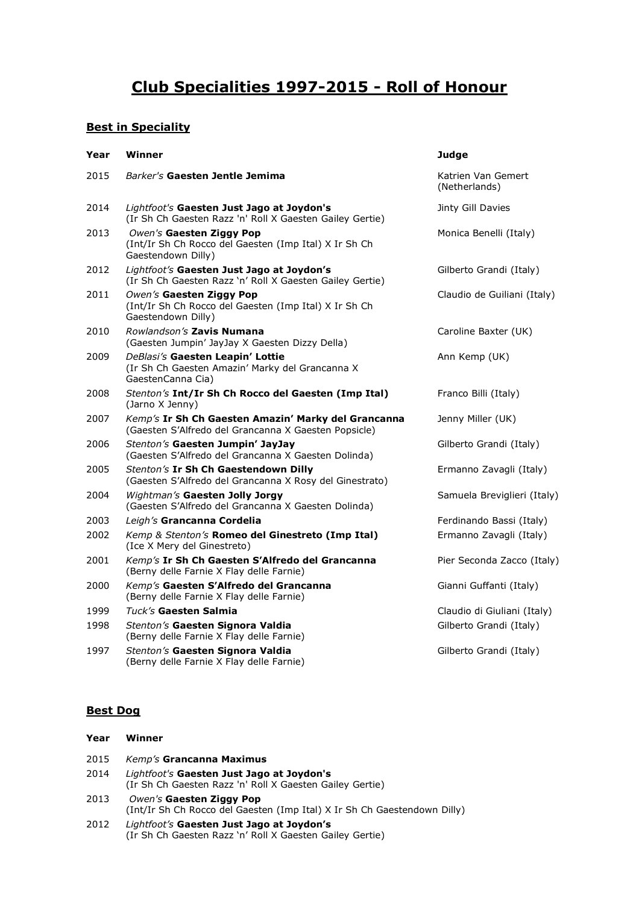# **Club Specialities 1997-2015 - Roll of Honour**

# **Best in Speciality**

| Year | Winner                                                                                                      | <b>Judge</b>                        |
|------|-------------------------------------------------------------------------------------------------------------|-------------------------------------|
| 2015 | Barker's Gaesten Jentle Jemima                                                                              | Katrien Van Gemert<br>(Netherlands) |
| 2014 | Lightfoot's Gaesten Just Jago at Joydon's<br>(Ir Sh Ch Gaesten Razz 'n' Roll X Gaesten Gailey Gertie)       | Jinty Gill Davies                   |
| 2013 | Owen's Gaesten Ziggy Pop<br>(Int/Ir Sh Ch Rocco del Gaesten (Imp Ital) X Ir Sh Ch<br>Gaestendown Dilly)     | Monica Benelli (Italy)              |
| 2012 | Lightfoot's Gaesten Just Jago at Joydon's<br>(Ir Sh Ch Gaesten Razz 'n' Roll X Gaesten Gailey Gertie)       | Gilberto Grandi (Italy)             |
| 2011 | Owen's Gaesten Ziggy Pop<br>(Int/Ir Sh Ch Rocco del Gaesten (Imp Ital) X Ir Sh Ch<br>Gaestendown Dilly)     | Claudio de Guiliani (Italy)         |
| 2010 | Rowlandson's Zavis Numana<br>(Gaesten Jumpin' JayJay X Gaesten Dizzy Della)                                 | Caroline Baxter (UK)                |
| 2009 | DeBlasi's Gaesten Leapin' Lottie<br>(Ir Sh Ch Gaesten Amazin' Marky del Grancanna X<br>GaestenCanna Cia)    | Ann Kemp (UK)                       |
| 2008 | Stenton's Int/Ir Sh Ch Rocco del Gaesten (Imp Ital)<br>(Jarno X Jenny)                                      | Franco Billi (Italy)                |
| 2007 | Kemp's Ir Sh Ch Gaesten Amazin' Marky del Grancanna<br>(Gaesten S'Alfredo del Grancanna X Gaesten Popsicle) | Jenny Miller (UK)                   |
| 2006 | Stenton's Gaesten Jumpin' JayJay<br>(Gaesten S'Alfredo del Grancanna X Gaesten Dolinda)                     | Gilberto Grandi (Italy)             |
| 2005 | Stenton's Ir Sh Ch Gaestendown Dilly<br>(Gaesten S'Alfredo del Grancanna X Rosy del Ginestrato)             | Ermanno Zavagli (Italy)             |
| 2004 | Wightman's Gaesten Jolly Jorgy<br>(Gaesten S'Alfredo del Grancanna X Gaesten Dolinda)                       | Samuela Breviglieri (Italy)         |
| 2003 | Leigh's Grancanna Cordelia                                                                                  | Ferdinando Bassi (Italy)            |
| 2002 | Kemp & Stenton's Romeo del Ginestreto (Imp Ital)<br>(Ice X Mery del Ginestreto)                             | Ermanno Zavagli (Italy)             |
| 2001 | Kemp's Ir Sh Ch Gaesten S'Alfredo del Grancanna<br>(Berny delle Farnie X Flay delle Farnie)                 | Pier Seconda Zacco (Italy)          |
| 2000 | Kemp's Gaesten S'Alfredo del Grancanna<br>(Berny delle Farnie X Flay delle Farnie)                          | Gianni Guffanti (Italy)             |
| 1999 | Tuck's Gaesten Salmia                                                                                       | Claudio di Giuliani (Italy)         |
| 1998 | Stenton's Gaesten Signora Valdia<br>(Berny delle Farnie X Flay delle Farnie)                                | Gilberto Grandi (Italy)             |
| 1997 | Stenton's Gaesten Signora Valdia<br>(Berny delle Farnie X Flay delle Farnie)                                | Gilberto Grandi (Italy)             |

## **Best Dog**

| Year | Winner                                                                                                |
|------|-------------------------------------------------------------------------------------------------------|
| 2015 | Kemp's Grancanna Maximus                                                                              |
| 2014 | Lightfoot's Gaesten Just Jago at Joydon's<br>(Ir Sh Ch Gaesten Razz 'n' Roll X Gaesten Gailey Gertie) |
| 2013 | Owen's Gaesten Ziggy Pop<br>(Int/Ir Sh Ch Rocco del Gaesten (Imp Ital) X Ir Sh Ch Gaestendown Dilly)  |
| 2012 | Lightfoot's Gaesten Just Jago at Joydon's<br>(Ir Sh Ch Gaesten Razz `n' Roll X Gaesten Gailey Gertie) |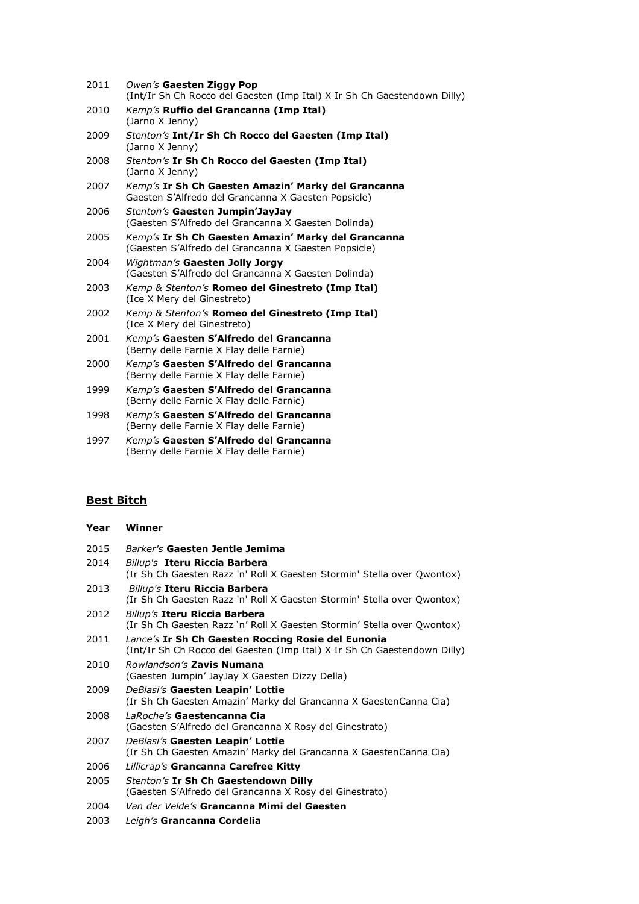| 2011 | Owen's Gaesten Ziggy Pop<br>(Int/Ir Sh Ch Rocco del Gaesten (Imp Ital) X Ir Sh Ch Gaestendown Dilly)        |
|------|-------------------------------------------------------------------------------------------------------------|
| 2010 | Kemp's Ruffio del Grancanna (Imp Ital)<br>(Jarno X Jenny)                                                   |
| 2009 | Stenton's Int/Ir Sh Ch Rocco del Gaesten (Imp Ital)<br>(Jarno X Jenny)                                      |
| 2008 | Stenton's Ir Sh Ch Rocco del Gaesten (Imp Ital)<br>(Jarno X Jenny)                                          |
| 2007 | Kemp's Ir Sh Ch Gaesten Amazin' Marky del Grancanna<br>Gaesten S'Alfredo del Grancanna X Gaesten Popsicle)  |
| 2006 | Stenton's Gaesten Jumpin'JayJay<br>(Gaesten S'Alfredo del Grancanna X Gaesten Dolinda)                      |
| 2005 | Kemp's Ir Sh Ch Gaesten Amazin' Marky del Grancanna<br>(Gaesten S'Alfredo del Grancanna X Gaesten Popsicle) |
| 2004 | Wightman's Gaesten Jolly Jorgy<br>(Gaesten S'Alfredo del Grancanna X Gaesten Dolinda)                       |
| 2003 | Kemp & Stenton's <b>Romeo del Ginestreto (Imp Ital)</b><br>(Ice X Mery del Ginestreto)                      |
| 2002 | Kemp & Stenton's Romeo del Ginestreto (Imp Ital)<br>(Ice X Mery del Ginestreto)                             |
| 2001 | Kemp's Gaesten S'Alfredo del Grancanna<br>(Berny delle Farnie X Flay delle Farnie)                          |
| 2000 | Kemp's Gaesten S'Alfredo del Grancanna<br>(Berny delle Farnie X Flay delle Farnie)                          |
| 1999 | Kemp's Gaesten S'Alfredo del Grancanna<br>(Berny delle Farnie X Flay delle Farnie)                          |
| 1998 | Kemp's Gaesten S'Alfredo del Grancanna<br>(Berny delle Farnie X Flay delle Farnie)                          |
| 1997 | Kemp's Gaesten S'Alfredo del Grancanna<br>(Berny delle Farnie X Flay delle Farnie)                          |

# **Best Bitch**

**Year Winner**

| 2015 | Barker's Gaesten Jentle Jemima                                                                                                 |  |
|------|--------------------------------------------------------------------------------------------------------------------------------|--|
| 2014 | Billup's Iteru Riccia Barbera<br>(Ir Sh Ch Gaesten Razz 'n' Roll X Gaesten Stormin' Stella over Qwontox)                       |  |
| 2013 | <b>Billup's Iteru Riccia Barbera</b><br>(Ir Sh Ch Gaesten Razz 'n' Roll X Gaesten Stormin' Stella over Owontox)                |  |
| 2012 | Billup's Iteru Riccia Barbera<br>(Ir Sh Ch Gaesten Razz `n' Roll X Gaesten Stormin' Stella over Qwontox)                       |  |
| 2011 | Lance's Ir Sh Ch Gaesten Roccing Rosie del Eunonia<br>(Int/Ir Sh Ch Rocco del Gaesten (Imp Ital) X Ir Sh Ch Gaestendown Dilly) |  |
| 2010 | Rowlandson's Zavis Numana<br>(Gaesten Jumpin' JayJay X Gaesten Dizzy Della)                                                    |  |
| 2009 | DeBlasi's Gaesten Leapin' Lottie<br>(Ir Sh Ch Gaesten Amazin' Marky del Grancanna X GaestenCanna Cia)                          |  |
| 2008 | LaRoche's Gaestencanna Cia<br>(Gaesten S'Alfredo del Grancanna X Rosy del Ginestrato)                                          |  |
| 2007 | DeBlasi's Gaesten Leapin' Lottie<br>(Ir Sh Ch Gaesten Amazin' Marky del Grancanna X GaestenCanna Cia)                          |  |
| 2006 | Lillicrap's Grancanna Carefree Kitty                                                                                           |  |
| 2005 | Stenton's Ir Sh Ch Gaestendown Dilly<br>(Gaesten S'Alfredo del Grancanna X Rosy del Ginestrato)                                |  |
| 2004 | Van der Velde's Grancanna Mimi del Gaesten                                                                                     |  |
| 2003 | Leigh's Grancanna Cordelia                                                                                                     |  |
|      |                                                                                                                                |  |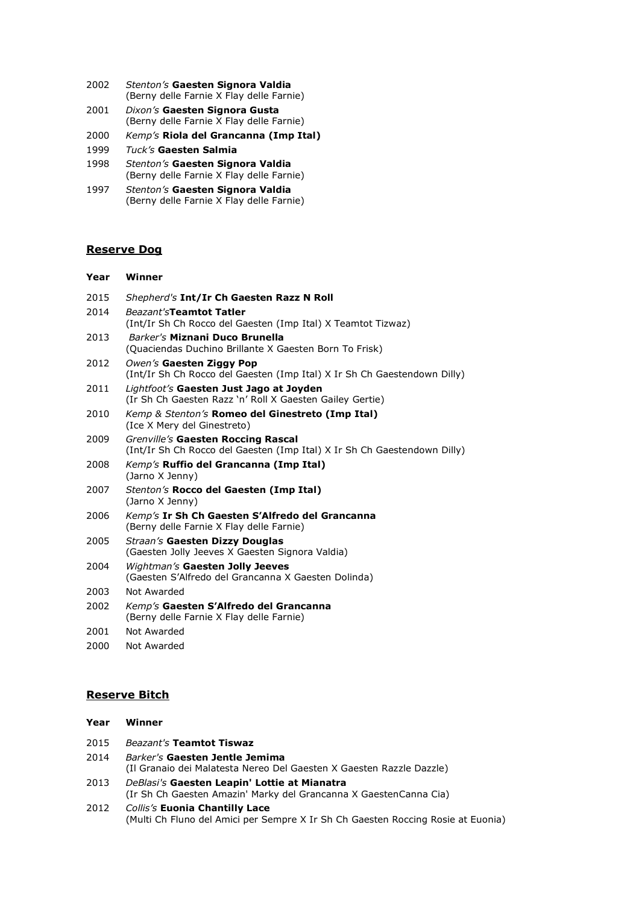- 2002 *Stenton's* **Gaesten Signora Valdia** (Berny delle Farnie X Flay delle Farnie)
- 2001 *Dixon's* **Gaesten Signora Gusta** (Berny delle Farnie X Flay delle Farnie)
- 2000 *Kemp's* **Riola del Grancanna (Imp Ital)**
- 1999 *Tuck's* **Gaesten Salmia**
- 1998 *Stenton's* **Gaesten Signora Valdia** (Berny delle Farnie X Flay delle Farnie)
- 1997 *Stenton's* **Gaesten Signora Valdia** (Berny delle Farnie X Flay delle Farnie)

#### **Reserve Dog**

#### **Year Winner**

2015 *Shepherd's* **Int/Ir Ch Gaesten Razz N Roll** 2014 *Beazant's***Teamtot Tatler** (Int/Ir Sh Ch Rocco del Gaesten (Imp Ital) X Teamtot Tizwaz) 2013 *Barker's* **Miznani Duco Brunella** (Quaciendas Duchino Brillante X Gaesten Born To Frisk) 2012 *Owen's* **Gaesten Ziggy Pop** (Int/Ir Sh Ch Rocco del Gaesten (Imp Ital) X Ir Sh Ch Gaestendown Dilly) 2011 *Lightfoot's* **Gaesten Just Jago at Joyden** (Ir Sh Ch Gaesten Razz 'n' Roll X Gaesten Gailey Gertie) 2010 *Kemp & Stenton's* **Romeo del Ginestreto (Imp Ital)** (Ice X Mery del Ginestreto) 2009 *Grenville's* **Gaesten Roccing Rascal** (Int/Ir Sh Ch Rocco del Gaesten (Imp Ital) X Ir Sh Ch Gaestendown Dilly) 2008 *Kemp's* **Ruffio del Grancanna (Imp Ital)** (Jarno X Jenny) 2007 *Stenton's* **Rocco del Gaesten (Imp Ital)** (Jarno X Jenny) 2006 *Kemp's* **Ir Sh Ch Gaesten S'Alfredo del Grancanna** (Berny delle Farnie X Flay delle Farnie) 2005 *Straan's* **Gaesten Dizzy Douglas** (Gaesten Jolly Jeeves X Gaesten Signora Valdia) 2004 *Wightman's* **Gaesten Jolly Jeeves** (Gaesten S'Alfredo del Grancanna X Gaesten Dolinda) 2003 Not Awarded 2002 *Kemp's* **Gaesten S'Alfredo del Grancanna** (Berny delle Farnie X Flay delle Farnie) 2001 Not Awarded 2000 Not Awarded

#### **Reserve Bitch**

**Year Winner**

| .    |                                                                                                                   |
|------|-------------------------------------------------------------------------------------------------------------------|
| 2015 | <b>Beazant's Teamtot Tiswaz</b>                                                                                   |
| 2014 | Barker's Gaesten Jentle Jemima<br>(Il Granaio dei Malatesta Nereo Del Gaesten X Gaesten Razzle Dazzle)            |
| 2013 | DeBlasi's Gaesten Leapin' Lottie at Mianatra<br>(Ir Sh Ch Gaesten Amazin' Marky del Grancanna X GaestenCanna Cia) |

2012 *Collis's* **Euonia Chantilly Lace** (Multi Ch Fluno del Amici per Sempre X Ir Sh Ch Gaesten Roccing Rosie at Euonia)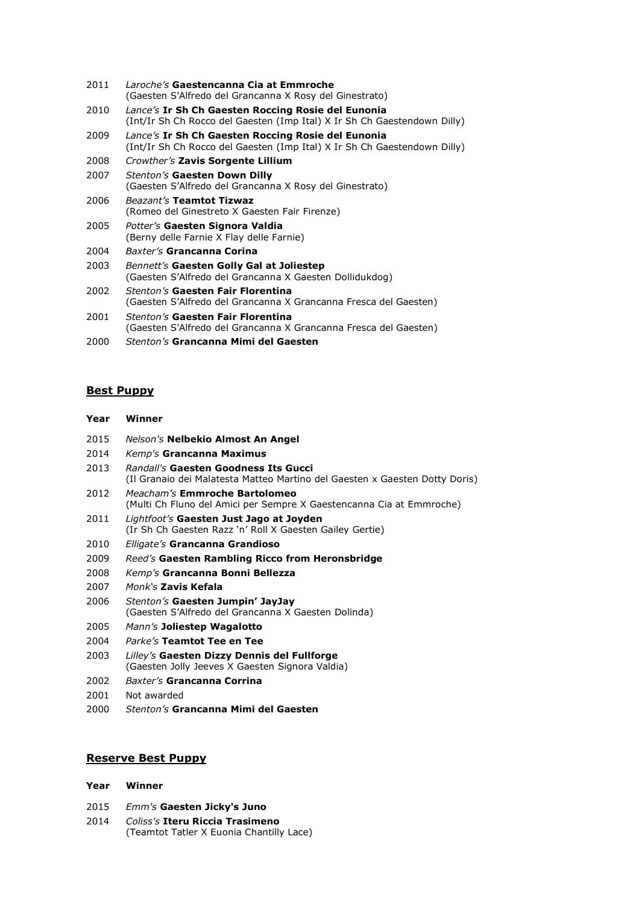- *Laroche's* **Gaestencanna Cia at Emmroche** (Gaesten S'Alfredo del Grancanna X Rosy del Ginestrato)
- *Lance's* **Ir Sh Ch Gaesten Roccing Rosie del Eunonia** (Int/Ir Sh Ch Rocco del Gaesten (Imp Ital) X Ir Sh Ch Gaestendown Dilly)
- *Lance's* **Ir Sh Ch Gaesten Roccing Rosie del Eunonia** (Int/Ir Sh Ch Rocco del Gaesten (Imp Ital) X Ir Sh Ch Gaestendown Dilly)
- *Crowther's* **Zavis Sorgente Lillium**
- *Stenton's* **Gaesten Down Dilly** (Gaesten S'Alfredo del Grancanna X Rosy del Ginestrato)
- *Beazant's* **Teamtot Tizwaz** (Romeo del Ginestreto X Gaesten Fair Firenze)
- *Potter's* **Gaesten Signora Valdia** (Berny delle Farnie X Flay delle Farnie)
- *Baxter's* **Grancanna Corina**
- *Bennett's* **Gaesten Golly Gal at Joliestep** (Gaesten S'Alfredo del Grancanna X Gaesten Dollidukdog)
- *Stenton's* **Gaesten Fair Florentina** (Gaesten S'Alfredo del Grancanna X Grancanna Fresca del Gaesten) *Stenton's* **Gaesten Fair Florentina**
- (Gaesten S'Alfredo del Grancanna X Grancanna Fresca del Gaesten)
- *Stenton's* **Grancanna Mimi del Gaesten**

#### **Best Puppy**

| Year | Winner |  |
|------|--------|--|
|      |        |  |

- *Nelson's* **Nelbekio Almost An Angel**
- *Kemp's* **Grancanna Maximus**
- *Randall's* **Gaesten Goodness Its Gucci** (Il Granaio dei Malatesta Matteo Martino del Gaesten x Gaesten Dotty Doris)
- *Meacham's* **Emmroche Bartolomeo** (Multi Ch Fluno del Amici per Sempre X Gaestencanna Cia at Emmroche)
- *Lightfoot's* **Gaesten Just Jago at Joyden** (Ir Sh Ch Gaesten Razz 'n' Roll X Gaesten Gailey Gertie)
- *Elligate's* **Grancanna Grandioso**
- *Reed's* **Gaesten Rambling Ricco from Heronsbridge**
- *Kemp's* **Grancanna Bonni Bellezza**
- *Monk's* **Zavis Kefala**
- *Stenton's* **Gaesten Jumpin' JayJay** (Gaesten S'Alfredo del Grancanna X Gaesten Dolinda)
- *Mann's* **Joliestep Wagalotto**
- *Parke's* **Teamtot Tee en Tee**
- *Lilley's* **Gaesten Dizzy Dennis del Fullforge** (Gaesten Jolly Jeeves X Gaesten Signora Valdia)
- *Baxter's* **Grancanna Corrina**
- Not awarded
- *Stenton's* **Grancanna Mimi del Gaesten**

### **Reserve Best Puppy**

#### **Year Winner**

- *Emm's* **Gaesten Jicky's Juno**
- *Coliss's* **Iteru Riccia Trasimeno** (Teamtot Tatler X Euonia Chantilly Lace)